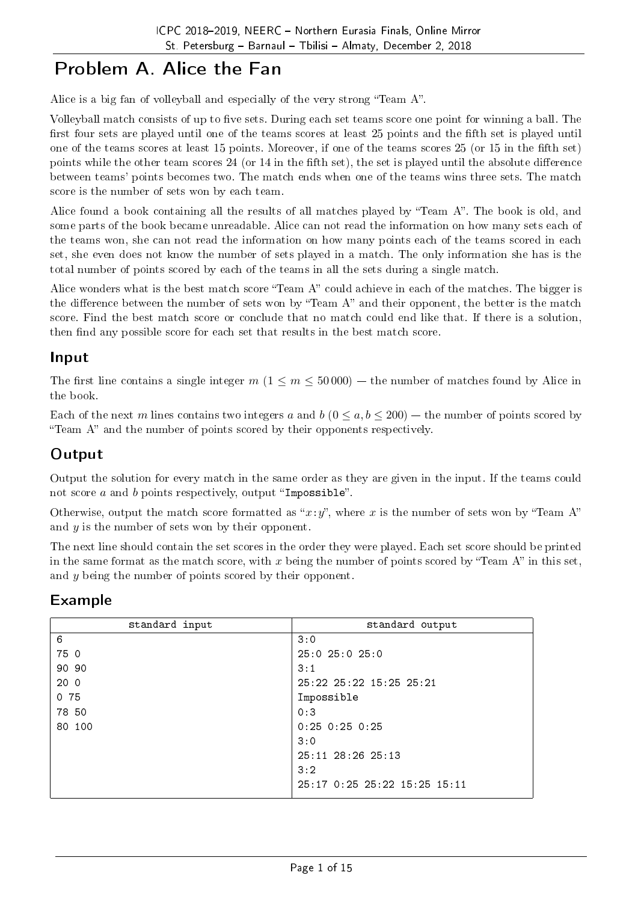# Problem A. Alice the Fan

Alice is a big fan of volleyball and especially of the very strong "Team A".

Volleyball match consists of up to five sets. During each set teams score one point for winning a ball. The first four sets are played until one of the teams scores at least 25 points and the fifth set is played until one of the teams scores at least 15 points. Moreover, if one of the teams scores 25 (or 15 in the fth set) points while the other team scores 24 (or 14 in the fifth set), the set is played until the absolute difference between teams' points becomes two. The match ends when one of the teams wins three sets. The match score is the number of sets won by each team.

Alice found a book containing all the results of all matches played by "Team A". The book is old, and some parts of the book became unreadable. Alice can not read the information on how many sets each of the teams won, she can not read the information on how many points each of the teams scored in each set, she even does not know the number of sets played in a match. The only information she has is the total number of points scored by each of the teams in all the sets during a single match.

Alice wonders what is the best match score "Team A" could achieve in each of the matches. The bigger is the difference between the number of sets won by "Team A" and their opponent, the better is the match score. Find the best match score or conclude that no match could end like that. If there is a solution, then find any possible score for each set that results in the best match score.

#### Input

The first line contains a single integer  $m (1 \le m \le 50000)$  – the number of matches found by Alice in the book.

Each of the next *m* lines contains two integers *a* and *b* ( $0 \le a, b \le 200$ ) – the number of points scored by "Team  $A$ " and the number of points scored by their opponents respectively.

### **Output**

Output the solution for every match in the same order as they are given in the input. If the teams could not score  $a$  and  $b$  points respectively, output "Impossible".

Otherwise, output the match score formatted as " $x:y$ ", where x is the number of sets won by "Team A" and *y* is the number of sets won by their opponent.

The next line should contain the set scores in the order they were played. Each set score should be printed in the same format as the match score, with  $x$  being the number of points scored by "Team A" in this set, and *y* being the number of points scored by their opponent.

#### Example

| standard input  | standard output                 |
|-----------------|---------------------------------|
| 6               | 3:0                             |
| 75 0            | $25:0$ $25:0$ $25:0$            |
| 90 90           | 3:1                             |
| 20 <sub>0</sub> | $25:22$ $25:22$ $15:25$ $25:21$ |
| 075             | Impossible                      |
| 78 50           | 0:3                             |
| 80 100          | $0:25$ $0:25$ $0:25$            |
|                 | 3:0                             |
|                 | $25:11$ $28:26$ $25:13$         |
|                 | 3:2                             |
|                 | 25:17 0:25 25:22 15:25 15:11    |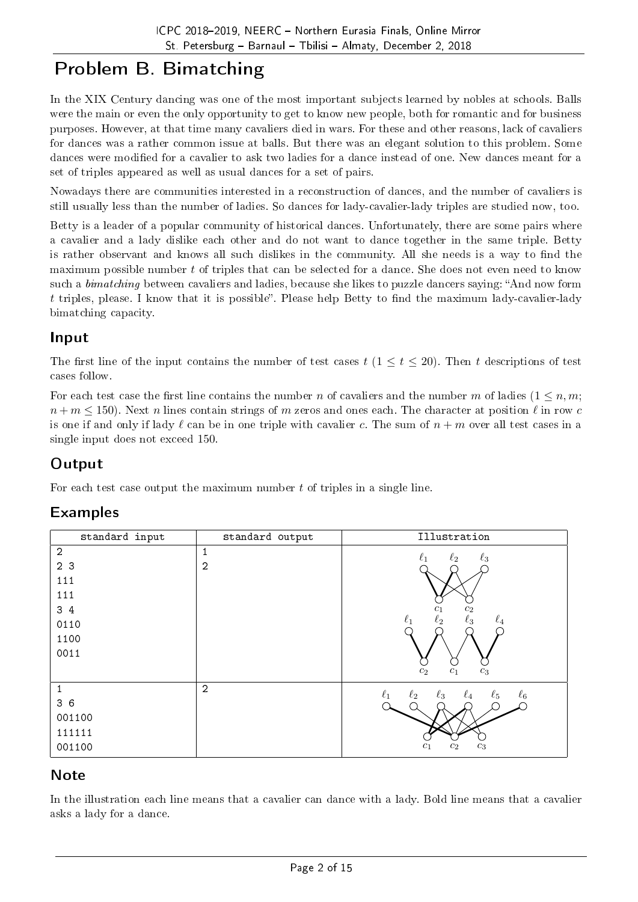# Problem B. Bimatching

In the XIX Century dancing was one of the most important subjects learned by nobles at schools. Balls were the main or even the only opportunity to get to know new people, both for romantic and for business purposes. However, at that time many cavaliers died in wars. For these and other reasons, lack of cavaliers for dances was a rather common issue at balls. But there was an elegant solution to this problem. Some dances were modified for a cavalier to ask two ladies for a dance instead of one. New dances meant for a set of triples appeared as well as usual dances for a set of pairs.

Nowadays there are communities interested in a reconstruction of dances, and the number of cavaliers is still usually less than the number of ladies. So dances for lady-cavalier-lady triples are studied now, too.

Betty is a leader of a popular community of historical dances. Unfortunately, there are some pairs where a cavalier and a lady dislike each other and do not want to dance together in the same triple. Betty is rather observant and knows all such dislikes in the community. All she needs is a way to find the maximum possible number *t* of triples that can be selected for a dance. She does not even need to know such a *bimatching* between cavaliers and ladies, because she likes to puzzle dancers saying: "And now form t triples, please. I know that it is possible". Please help Betty to find the maximum lady-cavalier-lady bimatching capacity.

### Input

The first line of the input contains the number of test cases  $t$  ( $1 \le t \le 20$ ). Then *t* descriptions of test cases follow.

For each test case the first line contains the number *n* of cavaliers and the number *m* of ladies  $(1 \leq n, m;$  $n + m \leq 150$ . Next *n* lines contain strings of *m* zeros and ones each. The character at position  $\ell$  in row *c* is one if and only if lady  $\ell$  can be in one triple with cavalier *c*. The sum of  $n + m$  over all test cases in a single input does not exceed 150.

### **Output**

For each test case output the maximum number *t* of triples in a single line.

### Examples

| standard input | standard output | Illustration                                                         |
|----------------|-----------------|----------------------------------------------------------------------|
| $\overline{2}$ | 1               | $\ell_3$<br>$\ell_2$<br>$\ell_1$                                     |
| 2 3            | $\overline{2}$  |                                                                      |
| 111            |                 |                                                                      |
| 111            |                 |                                                                      |
| 3 4            |                 | $\mathfrak{c}_2$<br>$c_1$                                            |
| 0110           |                 | $\ell_3$<br>$\ell_2$<br>$\ell_1$<br>$\ell_4$                         |
| 1100           |                 |                                                                      |
| 0011           |                 |                                                                      |
|                |                 | c <sub>2</sub><br>c <sub>1</sub><br>$c_3$                            |
| $\mathbf{1}$   | $\overline{2}$  | $\ell_1$<br>$\ell_5$<br>$\ell_6$<br>$\ell_2$<br>$\ell_3$<br>$\ell_4$ |
| 36             |                 |                                                                      |
| 001100         |                 |                                                                      |
| 111111         |                 |                                                                      |
| 001100         |                 | $\mathfrak{C}_3$<br>$\mathfrak{c}_1$<br>$\mathfrak{c}_2$             |

### Note

In the illustration each line means that a cavalier can dance with a lady. Bold line means that a cavalier asks a lady for a dance.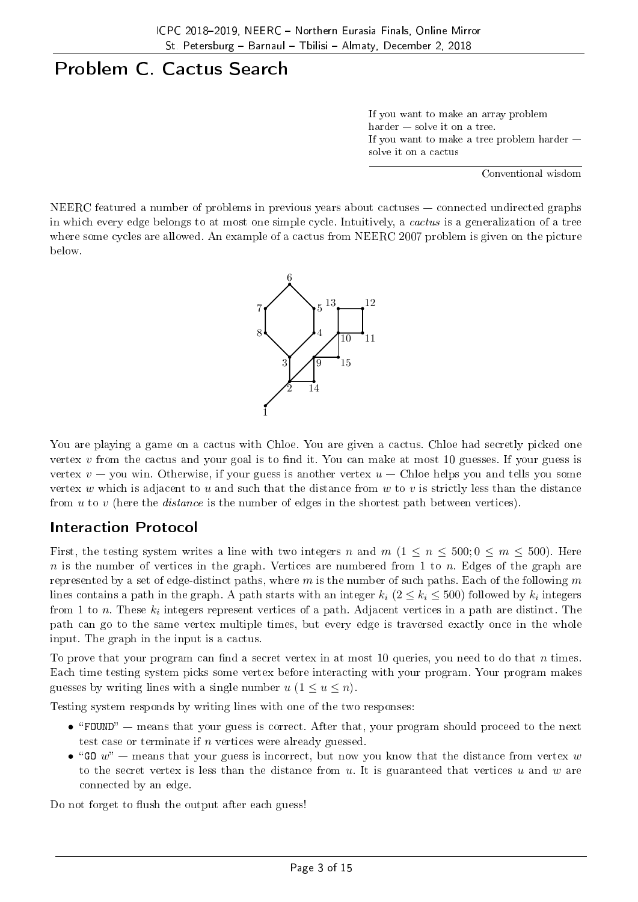## Problem C. Cactus Search

If you want to make an array problem  $harder - solve$  it on a tree. If you want to make a tree problem harder solve it on a cactus

Conventional wisdom

NEERC featured a number of problems in previous years about cactuses  $-$  connected undirected graphs in which every edge belongs to at most one simple cycle. Intuitively, a cactus is a generalization of a tree where some cycles are allowed. An example of a cactus from NEERC 2007 problem is given on the picture below.



You are playing a game on a cactus with Chloe. You are given a cactus. Chloe had secretly picked one vertex  $v$  from the cactus and your goal is to find it. You can make at most 10 guesses. If your guess is vertex  $v - y$ ou win. Otherwise, if your guess is another vertex  $u -$  Chloe helps you and tells you some vertex *w* which is adjacent to *u* and such that the distance from *w* to *v* is strictly less than the distance from *u* to *v* (here the distance is the number of edges in the shortest path between vertices).

### Interaction Protocol

First, the testing system writes a line with two integers *n* and  $m$  ( $1 \leq n \leq 500$ ;  $0 \leq m \leq 500$ ). Here *n* is the number of vertices in the graph. Vertices are numbered from 1 to *n*. Edges of the graph are represented by a set of edge-distinct paths, where *m* is the number of such paths. Each of the following *m* lines contains a path in the graph. A path starts with an integer  $k_i$  ( $2 \leq k_i \leq 500$ ) followed by  $k_i$  integers from  $1$  to  $n$ . These  $k_i$  integers represent vertices of a path. Adjacent vertices in a path are distinct. The path can go to the same vertex multiple times, but every edge is traversed exactly once in the whole input. The graph in the input is a cactus.

To prove that your program can find a secret vertex in at most 10 queries, you need to do that *n* times. Each time testing system picks some vertex before interacting with your program. Your program makes guesses by writing lines with a single number  $u$  ( $1 \le u \le n$ ).

Testing system responds by writing lines with one of the two responses:

- "FOUND" means that your guess is correct. After that, your program should proceed to the next test case or terminate if *n* vertices were already guessed.
- "GO  $w''$  means that your guess is incorrect, but now you know that the distance from vertex  $w$ to the secret vertex is less than the distance from *u*. It is guaranteed that vertices *u* and *w* are connected by an edge.

Do not forget to flush the output after each guess!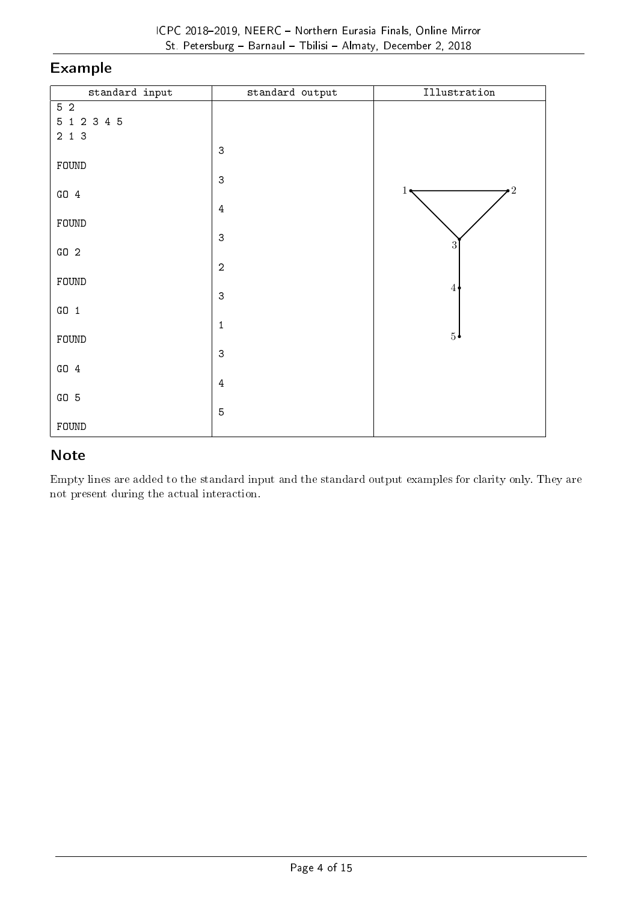### Example

| standard input | standard output           | Illustration   |
|----------------|---------------------------|----------------|
| 5 <sub>2</sub> |                           |                |
| $5$ 1 2 3 4 5  |                           |                |
| $2$ 1 3        |                           |                |
|                | $\ensuremath{\mathsf{3}}$ |                |
| FOUND          | $\ensuremath{\mathsf{3}}$ |                |
| GO 4           |                           | $\cdot$ 2<br>1 |
|                | $\bf 4$                   |                |
| FOUND          |                           |                |
|                | $\ensuremath{\mathsf{3}}$ |                |
| GO2            |                           | 3              |
|                | $\sqrt{2}$                |                |
| FOUND          |                           | $\overline{4}$ |
|                | $\sqrt{3}$                |                |
| $G0$ 1         |                           |                |
| FOUND          | $\,1\,$                   | 5 <sup>1</sup> |
|                | $\ensuremath{\mathsf{3}}$ |                |
| $GO_4$         |                           |                |
|                | $\bf 4$                   |                |
| $GO_5$         |                           |                |
|                | $\overline{5}$            |                |
| ${\tt FOUND}$  |                           |                |

### Note

Empty lines are added to the standard input and the standard output examples for clarity only. They are not present during the actual interaction.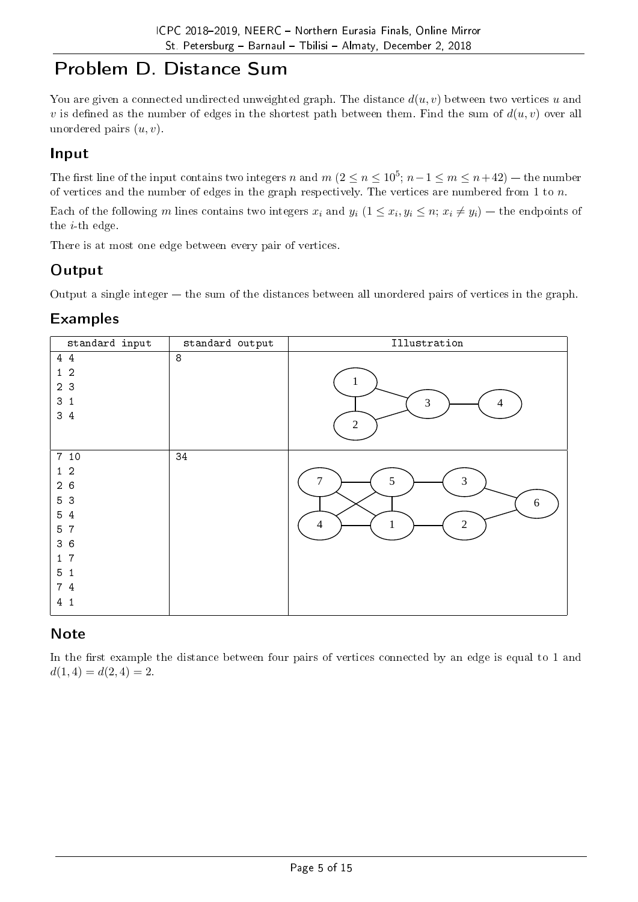## Problem D. Distance Sum

You are given a connected undirected unweighted graph. The distance *d*(*u, v*) between two vertices *u* and *v* is defined as the number of edges in the shortest path between them. Find the sum of  $d(u, v)$  over all unordered pairs (*u, v*).

### Input

The first line of the input contains two integers *n* and  $m$  ( $2 \le n \le 10^5$ ;  $n-1 \le m \le n+42$ ) — the number of vertices and the number of edges in the graph respectively. The vertices are numbered from 1 to *n*.

Each of the following m lines contains two integers  $x_i$  and  $y_i$   $(1 \le x_i, y_i \le n; x_i \ne y_i)$  — the endpoints of the *i*-th edge.

There is at most one edge between every pair of vertices.

### **Output**

Output a single integer  $-$  the sum of the distances between all unordered pairs of vertices in the graph.

### Examples

| standard input                                                                                                                                      | standard output  | Illustration                                                     |
|-----------------------------------------------------------------------------------------------------------------------------------------------------|------------------|------------------------------------------------------------------|
| 44<br>$1\quad2$<br>2 3<br>3 <sub>1</sub><br>34                                                                                                      | $\boldsymbol{8}$ | 1<br>3<br>4<br>$\sqrt{2}$                                        |
| 7 10<br>$1\quad2$<br>26<br>5 3<br>5 4<br>$5\overline{)}$<br>7<br>36<br>7<br>$\mathbf{1}$<br>5 <sub>1</sub><br>7 4<br>4 <sub>1</sub><br>$\mathbf{1}$ | 34               | $\mathfrak{Z}$<br>5<br>$6\,$<br>$\overline{2}$<br>$\overline{4}$ |

### **Note**

In the first example the distance between four pairs of vertices connected by an edge is equal to 1 and  $d(1,4) = d(2,4) = 2.$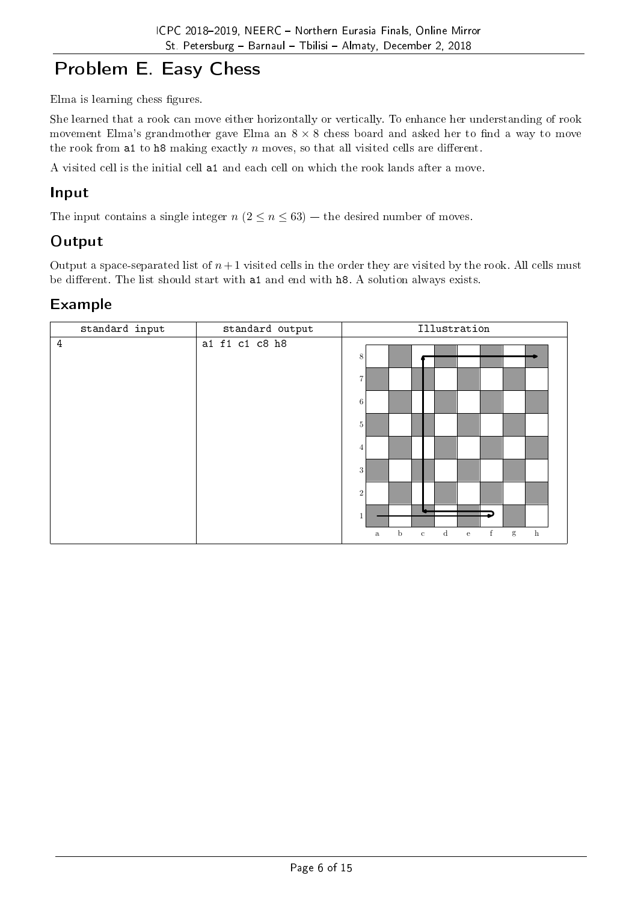# Problem E. Easy Chess

Elma is learning chess figures.

She learned that a rook can move either horizontally or vertically. To enhance her understanding of rook movement Elma's grandmother gave Elma an  $8 \times 8$  chess board and asked her to find a way to move the rook from a1 to h8 making exactly  $n$  moves, so that all visited cells are different.

A visited cell is the initial cell a1 and each cell on which the rook lands after a move.

### Input

The input contains a single integer  $n (2 \le n \le 63)$  – the desired number of moves.

### **Output**

Output a space-separated list of  $n+1$  visited cells in the order they are visited by the rook. All cells must be different. The list should start with a1 and end with h8. A solution always exists.

### Example

| standard input | standard output | Illustration                                                                                                                                                               |
|----------------|-----------------|----------------------------------------------------------------------------------------------------------------------------------------------------------------------------|
| $\overline{4}$ | a1 f1 c1 c8 h8  | 8<br>$\overline{7}$<br>6<br>5<br>4<br>3<br>$\overline{2}$<br>$\mathbf b$<br>$\mathbf f$<br>$\mathbf d$<br>$\mathbf{g}$<br>$_{\rm h}$<br>$\rm e$<br>$\mathbf c$<br>$\rm{a}$ |
|                |                 |                                                                                                                                                                            |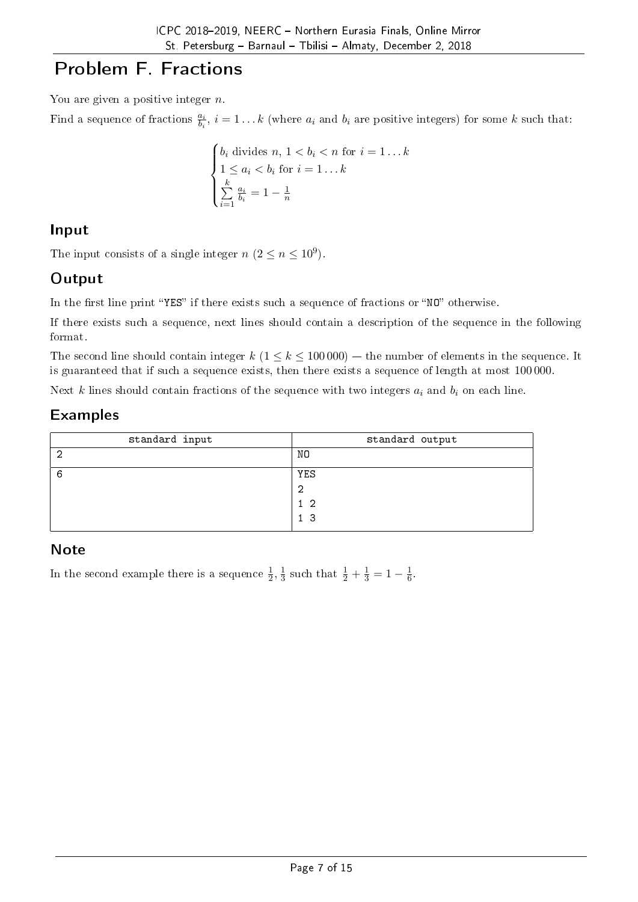# Problem F. Fractions

You are given a positive integer *n*.

Find a sequence of fractions  $\frac{a_i}{b_i}$ ,  $i = 1...k$  (where  $a_i$  and  $b_i$  are positive integers) for some  $k$  such that:

$$
\begin{cases}\nb_i \text{ divides } n, 1 < b_i < n \text{ for } i = 1 \dots k \\
1 \le a_i < b_i \text{ for } i = 1 \dots k \\
\sum_{i=1}^k \frac{a_i}{b_i} = 1 - \frac{1}{n}\n\end{cases}
$$

## Input

The input consists of a single integer  $n (2 \le n \le 10^9)$ .

## **Output**

In the first line print "YES" if there exists such a sequence of fractions or "NO" otherwise.

If there exists such a sequence, next lines should contain a description of the sequence in the following format.

The second line should contain integer  $k$  ( $1 \leq k \leq 100000$ )  $-$  the number of elements in the sequence. It is guaranteed that if such a sequence exists, then there exists a sequence of length at most 100 000.

Next *k* lines should contain fractions of the sequence with two integers *a<sup>i</sup>* and *b<sup>i</sup>* on each line.

### Examples

| standard input | standard output |
|----------------|-----------------|
| ◠              | NO              |
| b              | YES             |
|                | റ               |
|                | 12              |
|                | 1 <sup>3</sup>  |

### **Note**

In the second example there is a sequence  $\frac{1}{2}, \frac{1}{3}$  $\frac{1}{3}$  such that  $\frac{1}{2} + \frac{1}{3} = 1 - \frac{1}{6}$  $\frac{1}{6}$ .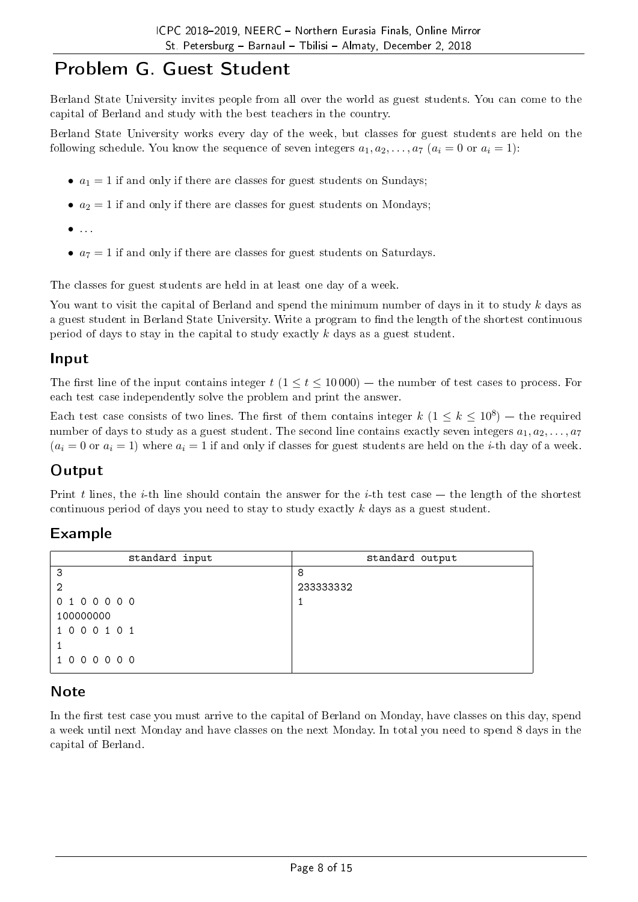## Problem G. Guest Student

Berland State University invites people from all over the world as guest students. You can come to the capital of Berland and study with the best teachers in the country.

Berland State University works every day of the week, but classes for guest students are held on the following schedule. You know the sequence of seven integers  $a_1, a_2, \ldots, a_7$  ( $a_i = 0$  or  $a_i = 1$ ):

- $a_1 = 1$  if and only if there are classes for guest students on Sundays;
- $a_2 = 1$  if and only if there are classes for guest students on Mondays;
- *•* . . .
- $a_7 = 1$  if and only if there are classes for guest students on Saturdays.

The classes for guest students are held in at least one day of a week.

You want to visit the capital of Berland and spend the minimum number of days in it to study *k* days as a guest student in Berland State University. Write a program to find the length of the shortest continuous period of days to stay in the capital to study exactly *k* days as a guest student.

#### Input

The first line of the input contains integer  $t$  ( $1 \le t \le 10000$ )  $-$  the number of test cases to process. For each test case independently solve the problem and print the answer.

Each test case consists of two lines. The first of them contains integer  $k$   $(1 \leq k \leq 10^8)$  — the required number of days to study as a guest student. The second line contains exactly seven integers  $a_1, a_2, \ldots, a_7$  $(a_i = 0 \text{ or } a_i = 1)$  where  $a_i = 1$  if and only if classes for guest students are held on the *i*-th day of a week.

#### **Output**

Print  $t$  lines, the  $i$ -th line should contain the answer for the  $i$ -th test case  $-$  the length of the shortest continuous period of days you need to stay to study exactly *k* days as a guest student.

#### Example

| standard input | standard output |
|----------------|-----------------|
| 3              | 8               |
| -2             | 233333332       |
| 0100000        |                 |
| 100000000      |                 |
| 1000101        |                 |
|                |                 |
| 1000000        |                 |

#### **Note**

In the first test case you must arrive to the capital of Berland on Monday, have classes on this day, spend a week until next Monday and have classes on the next Monday. In total you need to spend 8 days in the capital of Berland.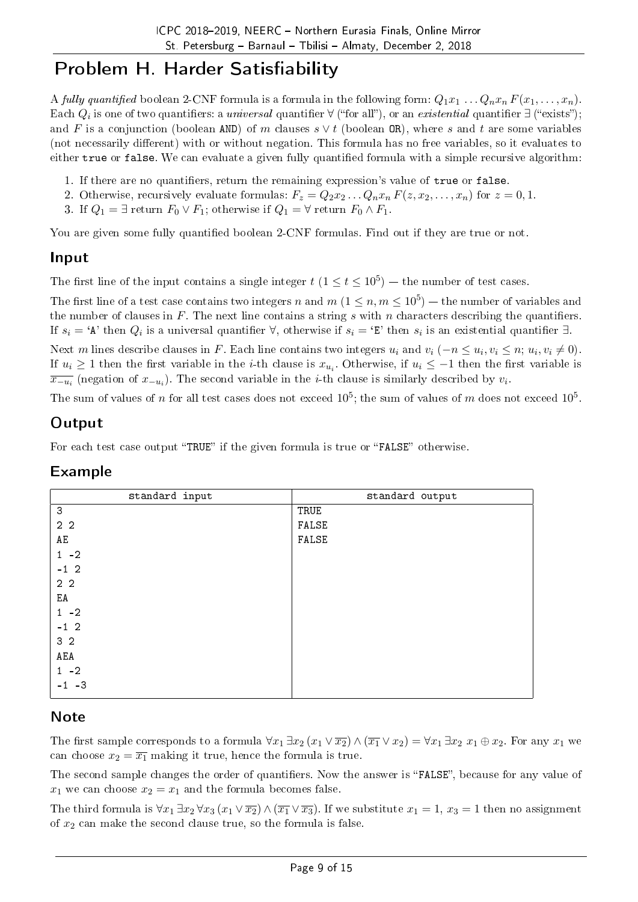## Problem H. Harder Satisfiability

A fully quantified boolean 2-CNF formula is a formula in the following form:  $Q_1x_1 \ldots Q_nx_n F(x_1, \ldots, x_n)$ .  $\rm{Each} \ Q_i$  is one of two quantifiers: a *universal* quantifier  $\forall$  ("for all"), or an *existential* quantifier  $\exists$  ("exists"); and *F* is a conjunction (boolean AND) of *m* clauses *s ∨ t* (boolean OR), where *s* and *t* are some variables (not necessarily different) with or without negation. This formula has no free variables, so it evaluates to either true or false. We can evaluate a given fully quantified formula with a simple recursive algorithm:

- 1. If there are no quantifiers, return the remaining expression's value of true or false.
- 2. Otherwise, recursively evaluate formulas:  $F_z = Q_2 x_2 \dots Q_n x_n F(z, x_2, \dots, x_n)$  for  $z = 0, 1$ .
- 3. If  $Q_1 = \exists$  return  $F_0 \vee F_1$ ; otherwise if  $Q_1 = \forall$  return  $F_0 \wedge F_1$ .

You are given some fully quantified boolean 2-CNF formulas. Find out if they are true or not.

### Input

The first line of the input contains a single integer  $t$  ( $1 \le t \le 10^5$ ) – the number of test cases.

The first line of a test case contains two integers *n* and  $m$  ( $1 \leq n, m \leq 10^5$ ) — the number of variables and the number of clauses in  $F$ . The next line contains a string  $s$  with  $n$  characters describing the quantifiers. If  $s_i = 'A'$  then  $Q_i$  is a universal quantifier  $\forall$ , otherwise if  $s_i = 'E'$  then  $s_i$  is an existential quantifier  $\exists$ .

Next m lines describe clauses in F. Each line contains two integers  $u_i$  and  $v_i$  ( $-n \le u_i, v_i \le n$ ;  $u_i, v_i \ne 0$ ). If  $u_i \geq 1$  then the first variable in the *i*-th clause is  $x_{u_i}$ . Otherwise, if  $u_i \leq -1$  then the first variable is  $\overline{x_{-u_i}}$  (negation of  $x_{-u_i}$ ). The second variable in the *i*-th clause is similarly described by  $v_i$ .

The sum of values of  $n$  for all test cases does not exceed  $10^5;$  the sum of values of  $m$  does not exceed  $10^5.$ 

### Output

For each test case output "TRUE" if the given formula is true or "FALSE" otherwise.

| standard input | standard output |
|----------------|-----------------|
| 3              | TRUE            |
| 2 <sub>2</sub> | FALSE           |
| AE             | FALSE           |
| $1 - 2$        |                 |
| $-1$ 2         |                 |
| 2 <sub>2</sub> |                 |
| ΕA             |                 |
| $1 - 2$        |                 |
| $-1$ 2         |                 |
| 3 <sub>2</sub> |                 |
| $\tt AEA$      |                 |
| $1 - 2$        |                 |
| $-1 -3$        |                 |

## Example

### Note

The first sample corresponds to a formula  $\forall x_1 \exists x_2 (x_1 \vee \overline{x_2}) \wedge (\overline{x_1} \vee x_2) = \forall x_1 \exists x_2 x_1 \oplus x_2$ . For any  $x_1$  we can choose  $x_2 = \overline{x_1}$  making it true, hence the formula is true.

The second sample changes the order of quantifiers. Now the answer is "FALSE", because for any value of  $x_1$  we can choose  $x_2 = x_1$  and the formula becomes false.

The third formula is  $\forall x_1 \exists x_2 \forall x_3 (x_1 \vee \overline{x_2}) \wedge (\overline{x_1} \vee \overline{x_3})$ . If we substitute  $x_1 = 1, x_3 = 1$  then no assignment of *x*<sup>2</sup> can make the second clause true, so the formula is false.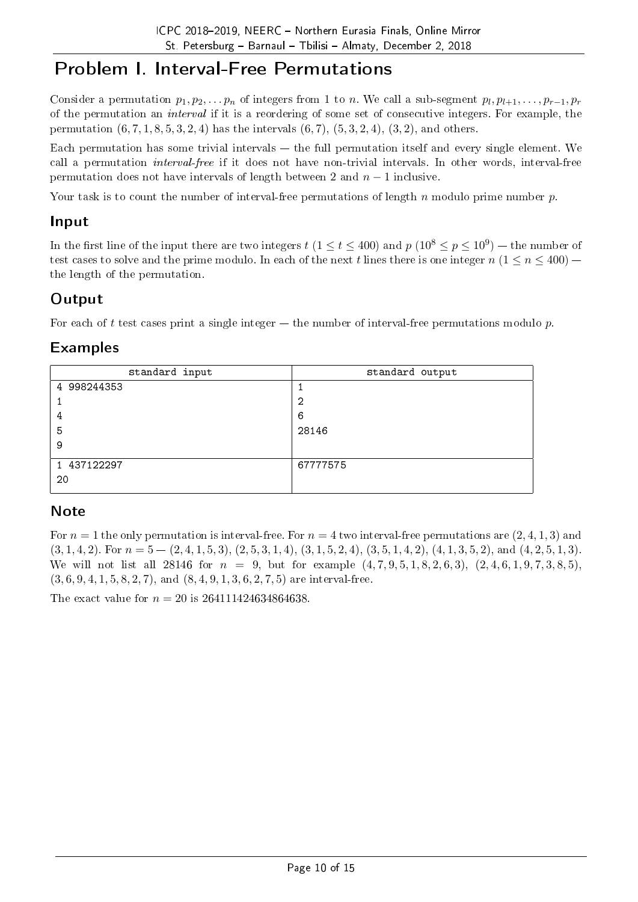## Problem I. Interval-Free Permutations

Consider a permutation  $p_1, p_2, \ldots, p_n$  of integers from 1 to *n*. We call a sub-segment  $p_l, p_{l+1}, \ldots, p_{r-1}, p_r$ of the permutation an interval if it is a reordering of some set of consecutive integers. For example, the permutation (6*,* 7*,* 1*,* 8*,* 5*,* 3*,* 2*,* 4) has the intervals (6*,* 7), (5*,* 3*,* 2*,* 4), (3*,* 2), and others.

Each permutation has some trivial intervals  $-$  the full permutation itself and every single element. We call a permutation interval-free if it does not have non-trivial intervals. In other words, interval-free permutation does not have intervals of length between 2 and *n −* 1 inclusive.

Your task is to count the number of interval-free permutations of length *n* modulo prime number *p*.

#### Input

In the first line of the input there are two integers  $t$  ( $1 \le t \le 400$ ) and  $p$  ( $10^8 \le p \le 10^9$ ) — the number of test cases to solve and the prime modulo. In each of the next *t* lines there is one integer  $n (1 \le n \le 400)$  – the length of the permutation.

#### **Output**

For each of t test cases print a single integer  $-$  the number of interval-free permutations modulo  $p$ .

### Examples

| standard input | standard output |
|----------------|-----------------|
| 4 998244353    |                 |
|                | 2               |
| 4              | 6               |
| 5              | 28146           |
| 9              |                 |
| 1 437122297    | 67777575        |
| 20             |                 |

#### **Note**

For  $n = 1$  the only permutation is interval-free. For  $n = 4$  two interval-free permutations are  $(2, 4, 1, 3)$  and  $(3,1,4,2)$ . For  $n = 5 - (2,4,1,5,3)$ ,  $(2,5,3,1,4)$ ,  $(3,1,5,2,4)$ ,  $(3,5,1,4,2)$ ,  $(4,1,3,5,2)$ , and  $(4,2,5,1,3)$ . We will not list all 28146 for  $n = 9$ , but for example  $(4, 7, 9, 5, 1, 8, 2, 6, 3)$ ,  $(2, 4, 6, 1, 9, 7, 3, 8, 5)$ . (3*,* 6*,* 9*,* 4*,* 1*,* 5*,* 8*,* 2*,* 7), and (8*,* 4*,* 9*,* 1*,* 3*,* 6*,* 2*,* 7*,* 5) are interval-free.

The exact value for  $n = 20$  is  $264111424634864638$ .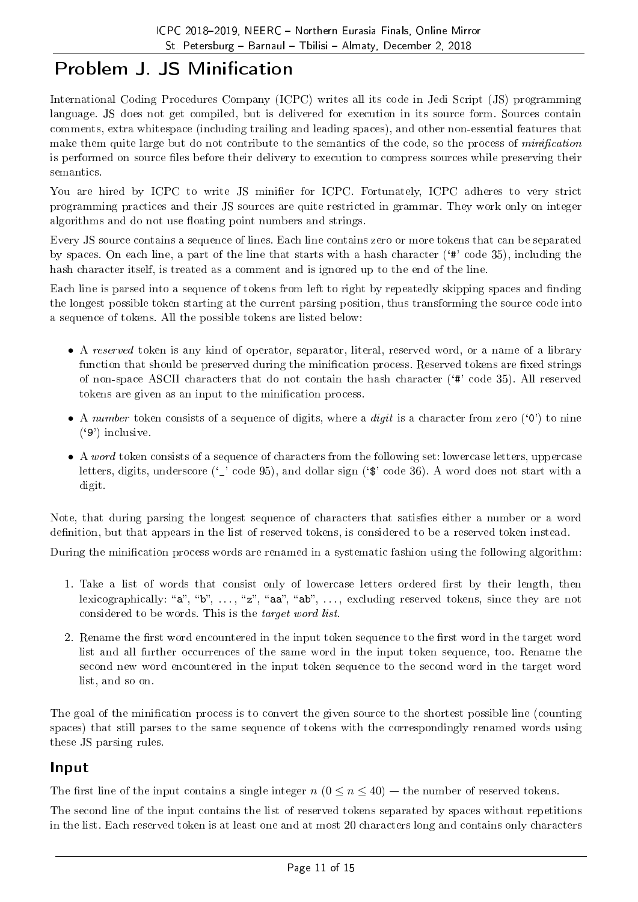# Problem J. JS Minification

International Coding Procedures Company (ICPC) writes all its code in Jedi Script (JS) programming language. JS does not get compiled, but is delivered for execution in its source form. Sources contain comments, extra whitespace (including trailing and leading spaces), and other non-essential features that make them quite large but do not contribute to the semantics of the code, so the process of *minification* is performed on source files before their delivery to execution to compress sources while preserving their semantics.

You are hired by ICPC to write JS minifier for ICPC. Fortunately, ICPC adheres to very strict programming practices and their JS sources are quite restricted in grammar. They work only on integer algorithms and do not use floating point numbers and strings.

Every JS source contains a sequence of lines. Each line contains zero or more tokens that can be separated by spaces. On each line, a part of the line that starts with a hash character (`#' code 35), including the hash character itself, is treated as a comment and is ignored up to the end of the line.

Each line is parsed into a sequence of tokens from left to right by repeatedly skipping spaces and finding the longest possible token starting at the current parsing position, thus transforming the source code into a sequence of tokens. All the possible tokens are listed below:

- A reserved token is any kind of operator, separator, literal, reserved word, or a name of a library function that should be preserved during the minification process. Reserved tokens are fixed strings of non-space ASCII characters that do not contain the hash character  $(4^{\mu}$  code 35). All reserved tokens are given as an input to the minication process.
- A number token consists of a sequence of digits, where a *digit* is a character from zero ('0') to nine  $('9')$  inclusive.
- A *word* token consists of a sequence of characters from the following set: lowercase letters, uppercase letters, digits, underscore ('\_' code 95), and dollar sign ('\$' code 36). A word does not start with a digit.

Note, that during parsing the longest sequence of characters that satisfies either a number or a word definition, but that appears in the list of reserved tokens, is considered to be a reserved token instead.

During the minification process words are renamed in a systematic fashion using the following algorithm:

- 1. Take a list of words that consist only of lowercase letters ordered first by their length, then lexicographically: "a", "b", ..., "z", "aa", "ab", ..., excluding reserved tokens, since they are not considered to be words. This is the target word list.
- 2. Rename the first word encountered in the input token sequence to the first word in the target word list and all further occurrences of the same word in the input token sequence, too. Rename the second new word encountered in the input token sequence to the second word in the target word list, and so on.

The goal of the minication process is to convert the given source to the shortest possible line (counting spaces) that still parses to the same sequence of tokens with the correspondingly renamed words using these JS parsing rules.

### Input

The first line of the input contains a single integer  $n (0 \le n \le 40)$  – the number of reserved tokens.

The second line of the input contains the list of reserved tokens separated by spaces without repetitions in the list. Each reserved token is at least one and at most 20 characters long and contains only characters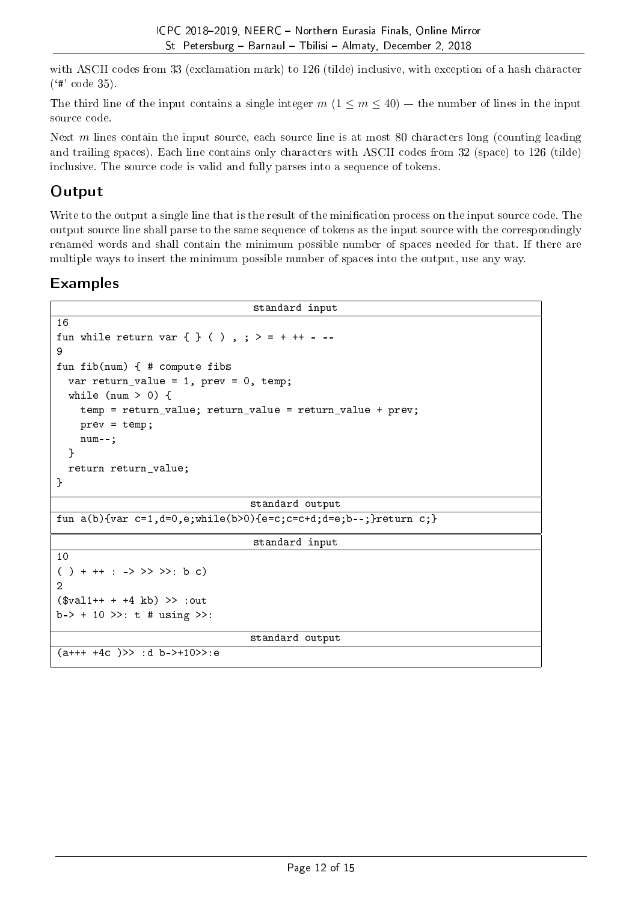with ASCII codes from 33 (exclamation mark) to 126 (tilde) inclusive, with exception of a hash character  $(*\ast \text{code }35).$ 

The third line of the input contains a single integer  $m (1 \leq m \leq 40)$  – the number of lines in the input source code.

Next *m* lines contain the input source, each source line is at most 80 characters long (counting leading and trailing spaces). Each line contains only characters with ASCII codes from 32 (space) to 126 (tilde) inclusive. The source code is valid and fully parses into a sequence of tokens.

### Output

Write to the output a single line that is the result of the minication process on the input source code. The output source line shall parse to the same sequence of tokens as the input source with the correspondingly renamed words and shall contain the minimum possible number of spaces needed for that. If there are multiple ways to insert the minimum possible number of spaces into the output, use any way.

### Examples

```
standard input
16
fun while return var \{ \} ( ), ; > = + ++ - --
9
fun fib(num) { # compute fibs
    var return_value = 1, prev = 0, temp;
    while (num > 0) {
        temp = return_value; return_value = return_value + prev;
        prev = temp;num--;
    }
    return return_value;
}
                                                                 standard output
fun a(b){var c=1,d=0,e;while(b>0){e=c;c=c+d;d=e;b--;}return c;}
                                                                  standard input
10
( ) + ++ : -> >> >>: b c)
2
(\text{d} \cdot \text{d} \cdot \text{d} + \text{d} + \text{d} \cdot \text{d} \cdot \text{d} + \text{d} \cdot \text{d} \cdot \text{d} + \text{d} \cdot \text{d} \cdot \text{d} \cdot \text{d} + \text{d} \cdot \text{d} \cdot \text{d} \cdot \text{d} \cdot \text{d} \cdot \text{d} \cdot \text{d} \cdot \text{d} \cdot \text{d} \cdot \text{d} \cdot \text{d} \cdot \text{d} \cdot \text{d} \cdot \text{d} \cdot \text{d} \cdot \text{d} \cdot \text{d} \cdot \text{d} \cdot \b-> + 10 \gg : t \# using >>:
                                                                 standard output
(a+++4c) \rightarrow :d b-+10 \rightarrow e
```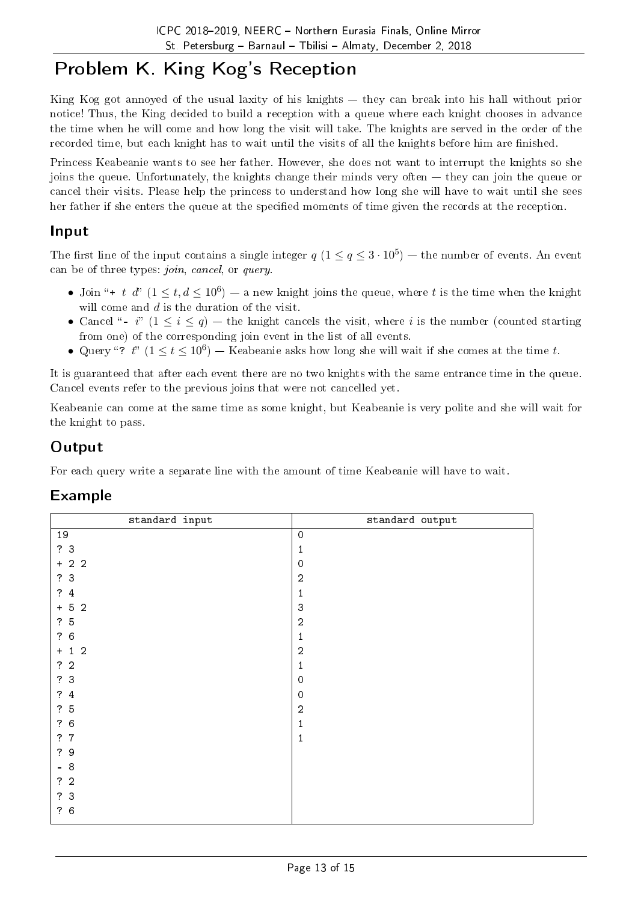# Problem K. King Kog's Reception

King Kog got annoyed of the usual laxity of his knights  $-$  they can break into his hall without prior notice! Thus, the King decided to build a reception with a queue where each knight chooses in advance the time when he will come and how long the visit will take. The knights are served in the order of the recorded time, but each knight has to wait until the visits of all the knights before him are finished.

Princess Keabeanie wants to see her father. However, she does not want to interrupt the knights so she joins the queue. Unfortunately, the knights change their minds very often they can join the queue or cancel their visits. Please help the princess to understand how long she will have to wait until she sees her father if she enters the queue at the specified moments of time given the records at the reception.

### Input

The first line of the input contains a single integer  $q$   $(1 \le q \le 3 \cdot 10^5)$  — the number of events. An event can be of three types: join, cancel, or query.

- Join "+ *t d*"  $(1 \le t, d \le 10^6)$  a new knight joins the queue, where *t* is the time when the knight will come and *d* is the duration of the visit.
- Cancel "- *i*"  $(1 \le i \le q)$  the knight cancels the visit, where *i* is the number (counted starting from one) of the corresponding join event in the list of all events.
- Query "?  $t$ " ( $1 \le t \le 10^6$ ) Keabeanie asks how long she will wait if she comes at the time  $t$ .

It is guaranteed that after each event there are no two knights with the same entrance time in the queue. Cancel events refer to the previous joins that were not cancelled yet.

Keabeanie can come at the same time as some knight, but Keabeanie is very polite and she will wait for the knight to pass.

### Output

For each query write a separate line with the amount of time Keabeanie will have to wait.

### Example

| standard input                                       | standard output |
|------------------------------------------------------|-----------------|
| $19\,$                                               | $\mathbf 0$     |
| ?3                                                   | 1               |
| $+ 2 2$                                              | $\circ$         |
| ?3                                                   | $\overline{2}$  |
| $\ddot{?}$<br>$\overline{4}$                         | $\mathbf{1}$    |
| $\overline{2}$<br>5 <sub>5</sub><br>$\boldsymbol{+}$ | 3               |
| ?5                                                   | $\overline{2}$  |
| $\ddot{?}$<br>6                                      | $\mathbf 1$     |
| $\overline{2}$<br>$\mathbf{1}$<br>$\ddot{}$          | $\overline{2}$  |
| ?2                                                   | 1               |
| ?3                                                   | $\circ$         |
| $\ddot{?}$<br>$\sqrt{4}$                             | $\circ$         |
| 5<br>$\ddot{?}$                                      | $\overline{2}$  |
| $\sqrt{6}$<br>$\ddot{?}$                             | $\mathbf 1$     |
| ?<br>7                                               | $\mathbf{1}$    |
| 9<br>$\overline{\mathcal{E}}$                        |                 |
| 8<br>$\equiv$                                        |                 |
| ?2                                                   |                 |
| ?3                                                   |                 |
| ?6                                                   |                 |
|                                                      |                 |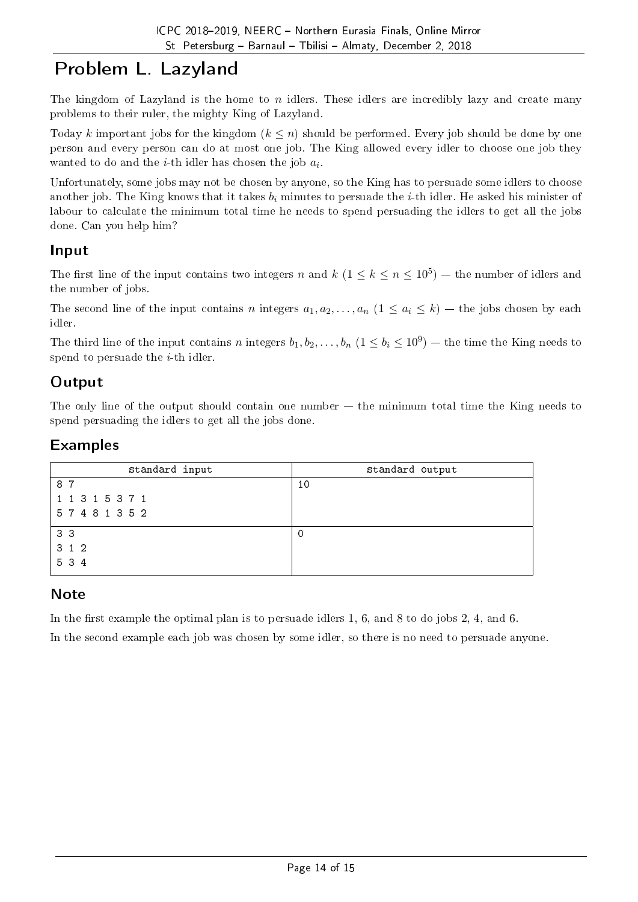# Problem L. Lazyland

The kingdom of Lazyland is the home to *n* idlers. These idlers are incredibly lazy and create many problems to their ruler, the mighty King of Lazyland.

Today *k* important jobs for the kingdom  $(k \leq n)$  should be performed. Every job should be done by one person and every person can do at most one job. The King allowed every idler to choose one job they wanted to do and the *i*-th idler has chosen the job *a<sup>i</sup>* .

Unfortunately, some jobs may not be chosen by anyone, so the King has to persuade some idlers to choose another job. The King knows that it takes *b<sup>i</sup>* minutes to persuade the *i*-th idler. He asked his minister of labour to calculate the minimum total time he needs to spend persuading the idlers to get all the jobs done. Can you help him?

#### Input

The first line of the input contains two integers *n* and  $k$  ( $1 \le k \le n \le 10^5$ ) — the number of idlers and the number of jobs.

The second line of the input contains *n* integers  $a_1, a_2, \ldots, a_n$   $(1 \le a_i \le k)$  – the jobs chosen by each idler.

The third line of the input contains *n* integers  $b_1, b_2, \ldots, b_n$   $(1 \le b_i \le 10^9)$  — the time the King needs to spend to persuade the *i*-th idler.

### **Output**

The only line of the output should contain one number  $-$  the minimum total time the King needs to spend persuading the idlers to get all the jobs done.

### Examples

| standard input  | standard output |
|-----------------|-----------------|
| 87              | 10              |
| 1 1 3 1 5 3 7 1 |                 |
| 57481352        |                 |
| 3 <sub>3</sub>  | 0               |
| 312             |                 |
| 5 3 4           |                 |

### **Note**

In the first example the optimal plan is to persuade idlers 1, 6, and 8 to do jobs 2, 4, and 6.

In the second example each job was chosen by some idler, so there is no need to persuade anyone.